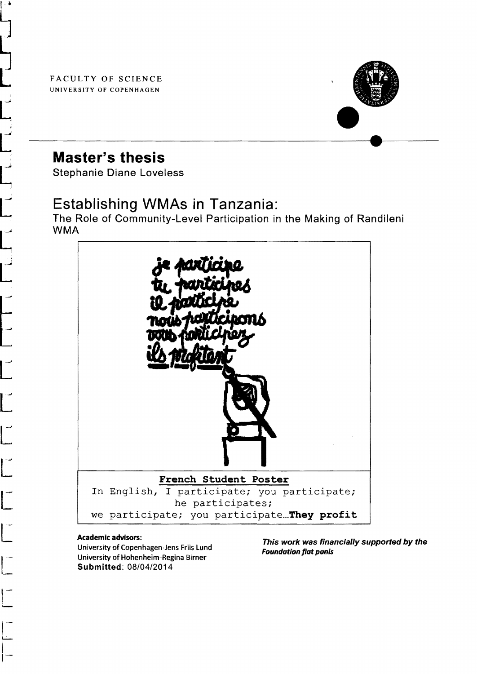FACULTY OF SCIENCE UNIVERSITY OF COPENHAGEN



# **Master's thesis**

Stephanie Diane Loveless

## Establishing WMAs in Tanzania:

The Role of Community-Level Participation in the Making of Randileni  $\begin{bmatrix} 1 & 0 \\ 0 & 1 \end{bmatrix}$ 



### Academic advisors:

University of Copennagen-Jens Friis Lund<br>University of Hohenheim-Regina Birner<br>Submitted: 08/04/2014 University of Copenhagen-Jens Friis Lund University of Hohenheim-Regina Birner Submitted: 08/04/2014

This work was financially supported by the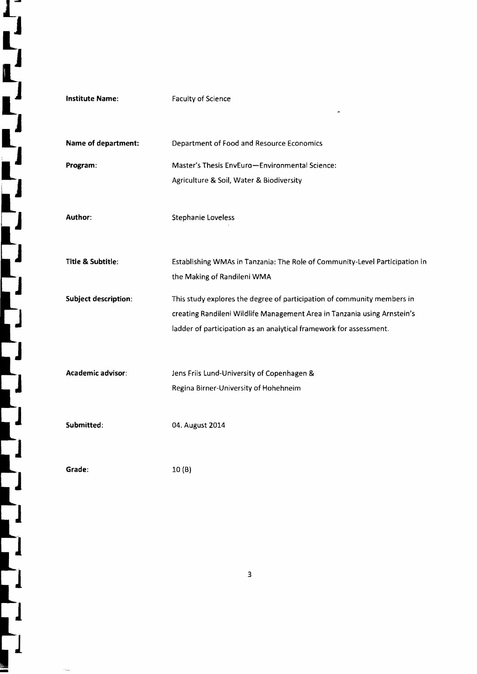| <b>Institute Name:</b>      | <b>Faculty of Science</b>                                                   |
|-----------------------------|-----------------------------------------------------------------------------|
|                             |                                                                             |
| Name of department:         | Department of Food and Resource Economics                                   |
| Program:                    | Master's Thesis EnvEuro-Environmental Science:                              |
|                             | Agriculture & Soil, Water & Biodiversity                                    |
|                             |                                                                             |
| Author:                     | <b>Stephanie Loveless</b>                                                   |
|                             |                                                                             |
| Title & Subtitle:           | Establishing WMAs in Tanzania: The Role of Community-Level Participation in |
|                             | the Making of Randileni WMA                                                 |
| <b>Subject description:</b> | This study explores the degree of participation of community members in     |
|                             | creating Randileni Wildlife Management Area in Tanzania using Arnstein's    |
|                             | ladder of participation as an analytical framework for assessment.          |
|                             |                                                                             |
| Academic advisor:           | Jens Friis Lund-University of Copenhagen &                                  |
|                             | Regina Birner-University of Hohehneim                                       |
|                             |                                                                             |
| Submitted:                  | 04. August 2014                                                             |
|                             |                                                                             |
| Grade:                      | 10(B)                                                                       |